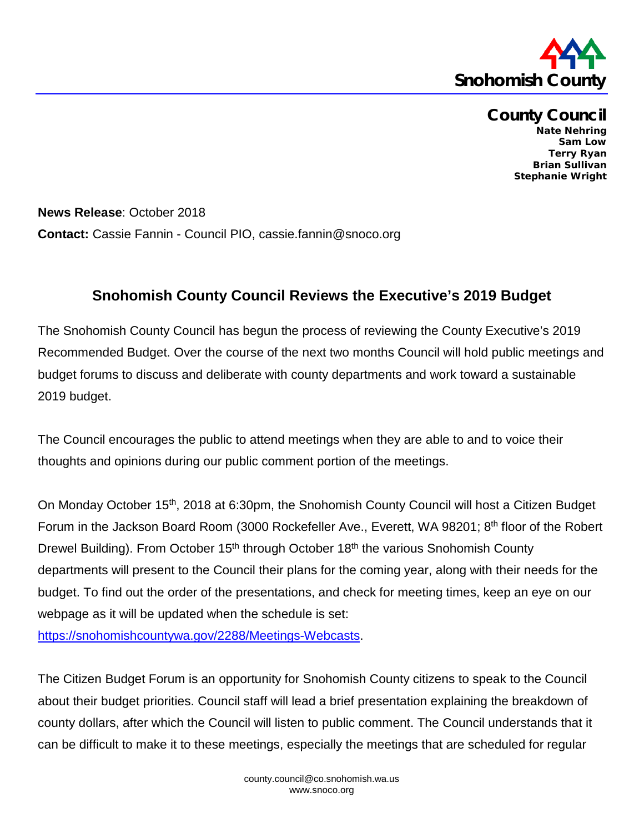

**County Council Nate Nehring Sam Low Terry Ryan Brian Sullivan Stephanie Wright**

**News Release**: October 2018 **Contact:** Cassie Fannin - Council PIO, cassie.fannin@snoco.org

## **Snohomish County Council Reviews the Executive's 2019 Budget**

The Snohomish County Council has begun the process of reviewing the County Executive's 2019 Recommended Budget. Over the course of the next two months Council will hold public meetings and budget forums to discuss and deliberate with county departments and work toward a sustainable 2019 budget.

The Council encourages the public to attend meetings when they are able to and to voice their thoughts and opinions during our public comment portion of the meetings.

On Monday October 15th, 2018 at 6:30pm, the Snohomish County Council will host a Citizen Budget Forum in the Jackson Board Room (3000 Rockefeller Ave., Everett, WA 98201; 8<sup>th</sup> floor of the Robert Drewel Building). From October 15<sup>th</sup> through October 18<sup>th</sup> the various Snohomish County departments will present to the Council their plans for the coming year, along with their needs for the budget. To find out the order of the presentations, and check for meeting times, keep an eye on our webpage as it will be updated when the schedule is set:

[https://snohomishcountywa.gov/2288/Meetings-Webcasts.](https://snohomishcountywa.gov/2288/Meetings-Webcasts)

The Citizen Budget Forum is an opportunity for Snohomish County citizens to speak to the Council about their budget priorities. Council staff will lead a brief presentation explaining the breakdown of county dollars, after which the Council will listen to public comment. The Council understands that it can be difficult to make it to these meetings, especially the meetings that are scheduled for regular